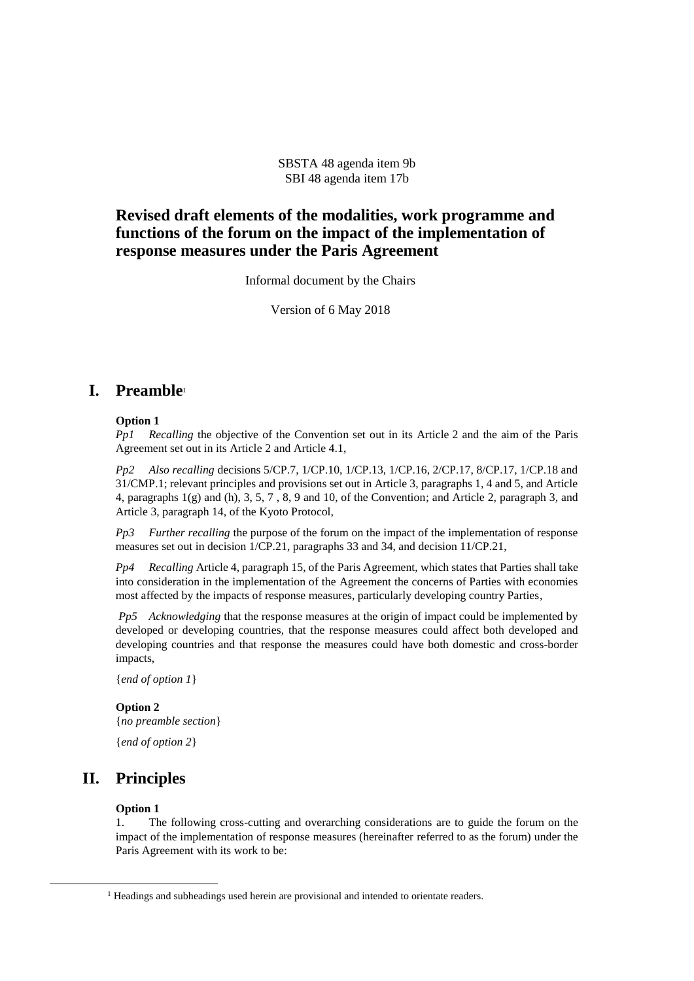SBSTA 48 agenda item 9b SBI 48 agenda item 17b

## **Revised draft elements of the modalities, work programme and functions of the forum on the impact of the implementation of response measures under the Paris Agreement**

Informal document by the Chairs

Version of 6 May 2018

## **I. Preamble**<sup>1</sup>

### **Option 1**

*Pp1 Recalling* the objective of the Convention set out in its Article 2 and the aim of the Paris Agreement set out in its Article 2 and Article 4.1,

*Pp2 Also recalling* decisions 5/CP.7, 1/CP.10, 1/CP.13, 1/CP.16, 2/CP.17, 8/CP.17, 1/CP.18 and 31/CMP.1; relevant principles and provisions set out in Article 3, paragraphs 1, 4 and 5, and Article 4, paragraphs 1(g) and (h), 3, 5, 7 , 8, 9 and 10, of the Convention; and Article 2, paragraph 3, and Article 3, paragraph 14, of the Kyoto Protocol,

*Pp3 Further recalling* the purpose of the forum on the impact of the implementation of response measures set out in decision 1/CP.21, paragraphs 33 and 34, and decision 11/CP.21,

*Pp4 Recalling* Article 4, paragraph 15, of the Paris Agreement, which states that Parties shall take into consideration in the implementation of the Agreement the concerns of Parties with economies most affected by the impacts of response measures, particularly developing country Parties,

*Pp5 Acknowledging* that the response measures at the origin of impact could be implemented by developed or developing countries, that the response measures could affect both developed and developing countries and that response the measures could have both domestic and cross-border impacts,

{*end of option 1*}

## **Option 2**

{*no preamble section*}

{*end of option 2*}

## **II. Principles**

## **Option 1**

l

1. The following cross-cutting and overarching considerations are to guide the forum on the impact of the implementation of response measures (hereinafter referred to as the forum) under the Paris Agreement with its work to be:

<sup>&</sup>lt;sup>1</sup> Headings and subheadings used herein are provisional and intended to orientate readers.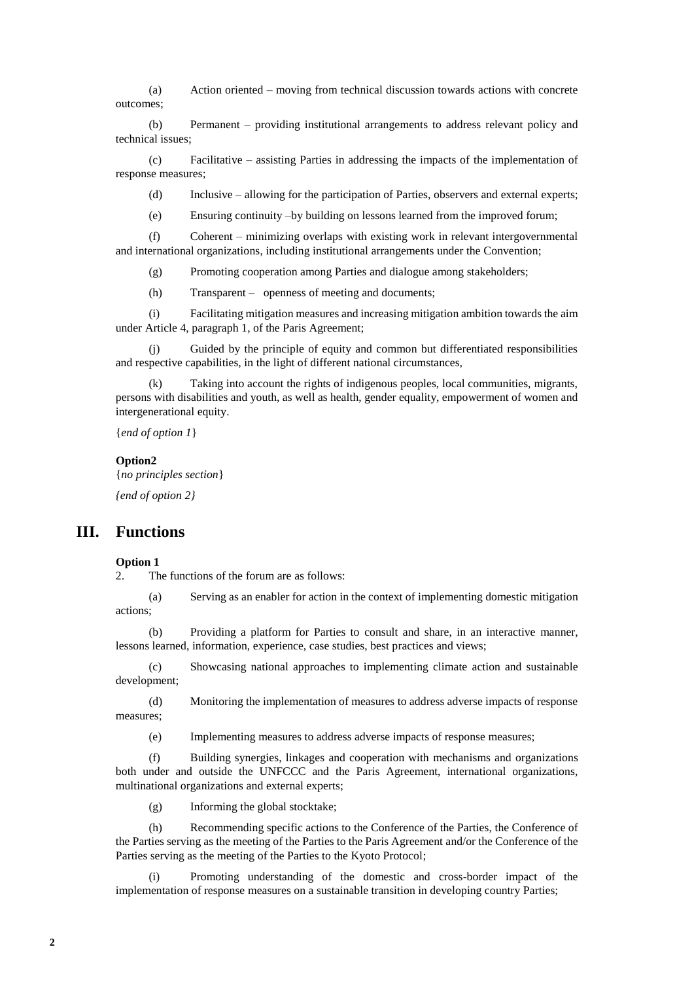(a) Action oriented – moving from technical discussion towards actions with concrete outcomes;

(b) Permanent – providing institutional arrangements to address relevant policy and technical issues;

(c) Facilitative – assisting Parties in addressing the impacts of the implementation of response measures;

(d) Inclusive – allowing for the participation of Parties, observers and external experts;

(e) Ensuring continuity –by building on lessons learned from the improved forum;

(f) Coherent – minimizing overlaps with existing work in relevant intergovernmental and international organizations, including institutional arrangements under the Convention;

(g) Promoting cooperation among Parties and dialogue among stakeholders;

(h) Transparent – openness of meeting and documents;

(i) Facilitating mitigation measures and increasing mitigation ambition towards the aim under Article 4, paragraph 1, of the Paris Agreement;

(j) Guided by the principle of equity and common but differentiated responsibilities and respective capabilities, in the light of different national circumstances,

Taking into account the rights of indigenous peoples, local communities, migrants, persons with disabilities and youth, as well as health, gender equality, empowerment of women and intergenerational equity.

{*end of option 1*}

#### **Option2**

{*no principles section*}

*{end of option 2}*

## **III. Functions**

### **Option 1**

2. The functions of the forum are as follows:

(a) Serving as an enabler for action in the context of implementing domestic mitigation actions;

(b) Providing a platform for Parties to consult and share, in an interactive manner, lessons learned, information, experience, case studies, best practices and views;

(c) Showcasing national approaches to implementing climate action and sustainable development;

(d) Monitoring the implementation of measures to address adverse impacts of response measures;

(e) Implementing measures to address adverse impacts of response measures;

(f) Building synergies, linkages and cooperation with mechanisms and organizations both under and outside the UNFCCC and the Paris Agreement, international organizations, multinational organizations and external experts;

(g) Informing the global stocktake;

(h) Recommending specific actions to the Conference of the Parties, the Conference of the Parties serving as the meeting of the Parties to the Paris Agreement and/or the Conference of the Parties serving as the meeting of the Parties to the Kyoto Protocol;

(i) Promoting understanding of the domestic and cross-border impact of the implementation of response measures on a sustainable transition in developing country Parties;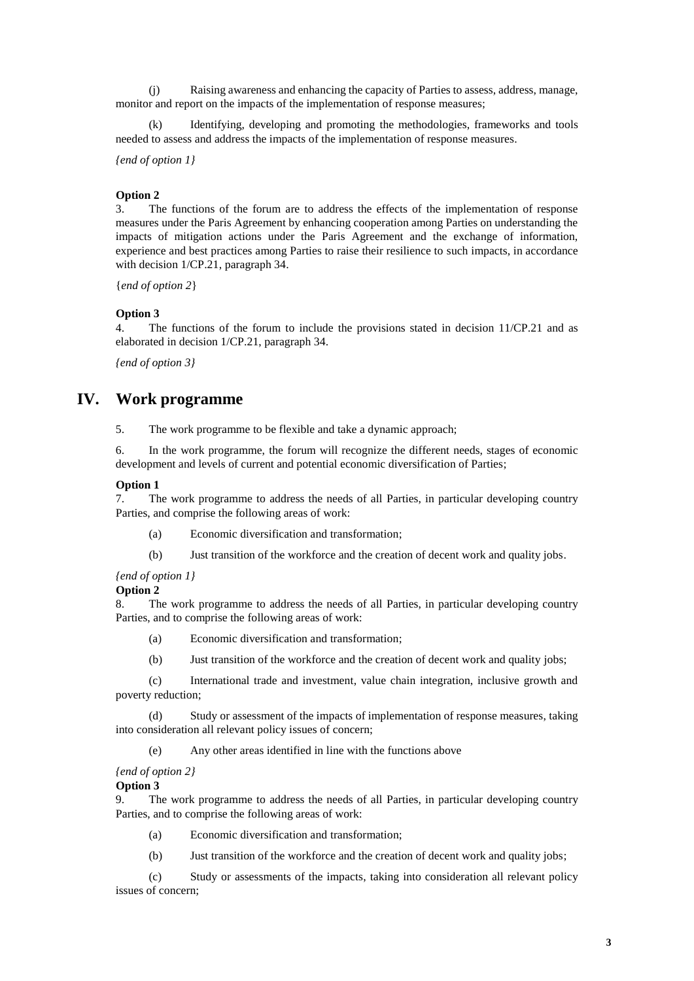(j) Raising awareness and enhancing the capacity of Parties to assess, address, manage, monitor and report on the impacts of the implementation of response measures;

Identifying, developing and promoting the methodologies, frameworks and tools needed to assess and address the impacts of the implementation of response measures.

*{end of option 1}*

### **Option 2**

3. The functions of the forum are to address the effects of the implementation of response measures under the Paris Agreement by enhancing cooperation among Parties on understanding the impacts of mitigation actions under the Paris Agreement and the exchange of information, experience and best practices among Parties to raise their resilience to such impacts, in accordance with decision 1/CP.21, paragraph 34.

{*end of option 2*}

### **Option 3**

4. The functions of the forum to include the provisions stated in decision 11/CP.21 and as elaborated in decision 1/CP.21, paragraph 34.

*{end of option 3}*

# **IV. Work programme**

5. The work programme to be flexible and take a dynamic approach;

6. In the work programme, the forum will recognize the different needs, stages of economic development and levels of current and potential economic diversification of Parties;

#### **Option 1**

7. The work programme to address the needs of all Parties, in particular developing country Parties, and comprise the following areas of work:

- (a) Economic diversification and transformation;
- (b) Just transition of the workforce and the creation of decent work and quality jobs.

### *{end of option 1}*

### **Option 2**

8. The work programme to address the needs of all Parties, in particular developing country Parties, and to comprise the following areas of work:

- (a) Economic diversification and transformation;
- (b) Just transition of the workforce and the creation of decent work and quality jobs;

(c) International trade and investment, value chain integration, inclusive growth and poverty reduction;

(d) Study or assessment of the impacts of implementation of response measures, taking into consideration all relevant policy issues of concern;

(e) Any other areas identified in line with the functions above

## *{end of option 2}*

## **Option 3**

9. The work programme to address the needs of all Parties, in particular developing country Parties, and to comprise the following areas of work:

- (a) Economic diversification and transformation;
- (b) Just transition of the workforce and the creation of decent work and quality jobs;

(c) Study or assessments of the impacts, taking into consideration all relevant policy issues of concern;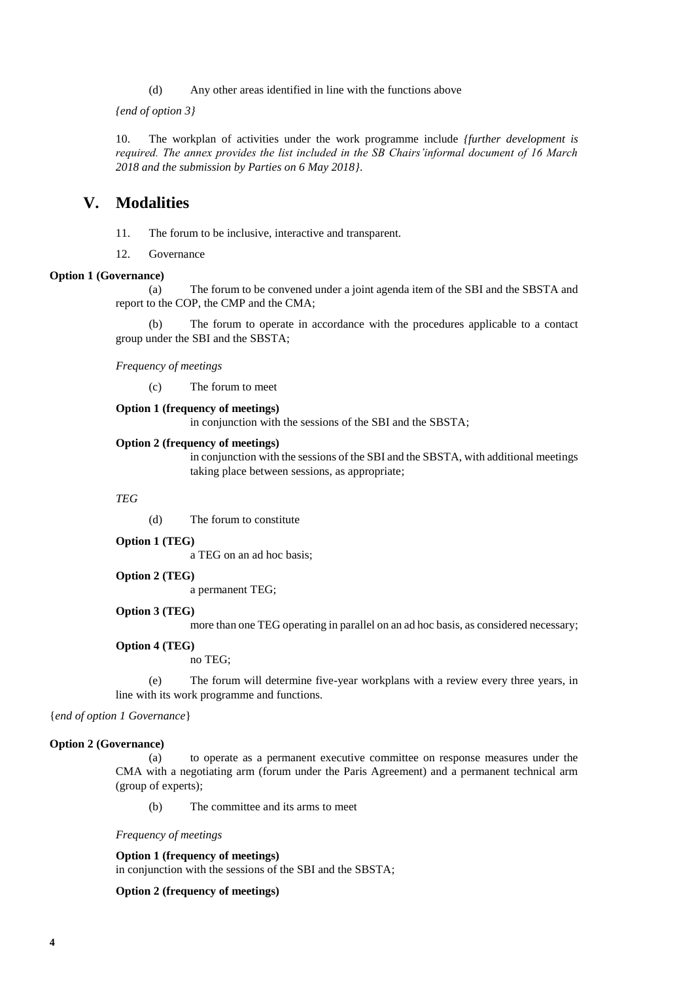(d) Any other areas identified in line with the functions above

*{end of option 3}*

10. The workplan of activities under the work programme include *{further development is required. The annex provides the list included in the SB Chairs'informal document of 16 March 2018 and the submission by Parties on 6 May 2018}*.

## **V. Modalities**

11. The forum to be inclusive, interactive and transparent.

12. Governance

## **Option 1 (Governance)**

(a) The forum to be convened under a joint agenda item of the SBI and the SBSTA and report to the COP, the CMP and the CMA;

(b) The forum to operate in accordance with the procedures applicable to a contact group under the SBI and the SBSTA;

*Frequency of meetings*

(c) The forum to meet

### **Option 1 (frequency of meetings)**

in conjunction with the sessions of the SBI and the SBSTA;

#### **Option 2 (frequency of meetings)**

in conjunction with the sessions of the SBI and the SBSTA, with additional meetings taking place between sessions, as appropriate;

#### *TEG*

(d) The forum to constitute

### **Option 1 (TEG)**

a TEG on an ad hoc basis;

#### **Option 2 (TEG)**

a permanent TEG;

## **Option 3 (TEG)**

more than one TEG operating in parallel on an ad hoc basis, as considered necessary;

### **Option 4 (TEG)**

no TEG;

(e) The forum will determine five-year workplans with a review every three years, in line with its work programme and functions.

{*end of option 1 Governance*}

### **Option 2 (Governance)**

(a) to operate as a permanent executive committee on response measures under the CMA with a negotiating arm (forum under the Paris Agreement) and a permanent technical arm (group of experts);

(b) The committee and its arms to meet

*Frequency of meetings*

#### **Option 1 (frequency of meetings)**

in conjunction with the sessions of the SBI and the SBSTA;

## **Option 2 (frequency of meetings)**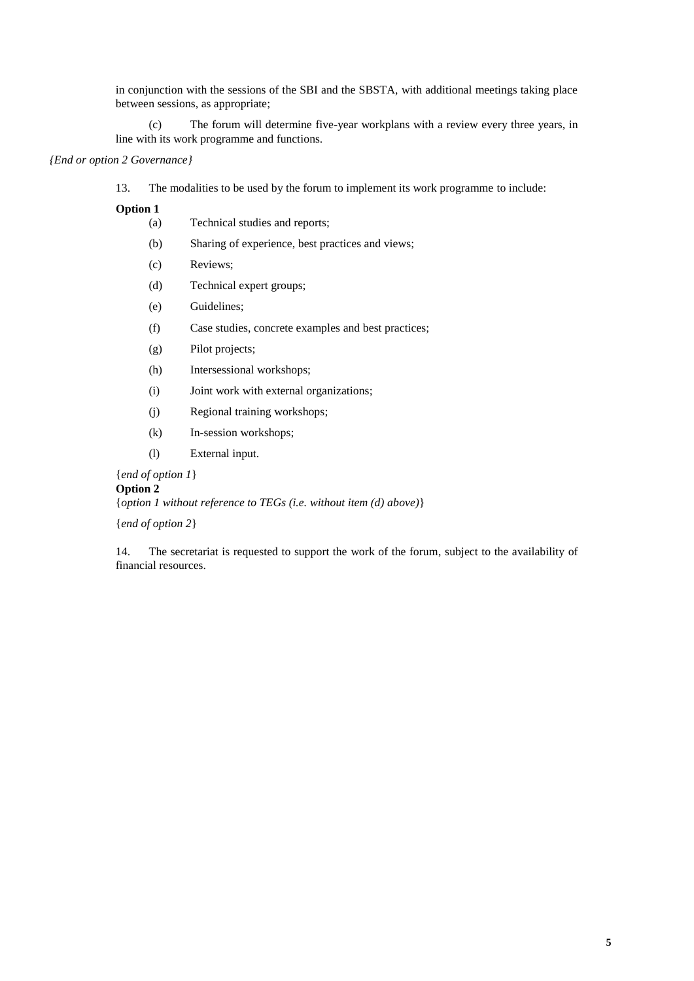in conjunction with the sessions of the SBI and the SBSTA, with additional meetings taking place between sessions, as appropriate;

(c) The forum will determine five-year workplans with a review every three years, in line with its work programme and functions.

*{End or option 2 Governance}*

13. The modalities to be used by the forum to implement its work programme to include:

**Option 1**

- (a) Technical studies and reports;
- (b) Sharing of experience, best practices and views;
- (c) Reviews;
- (d) Technical expert groups;
- (e) Guidelines;
- (f) Case studies, concrete examples and best practices;
- (g) Pilot projects;
- (h) Intersessional workshops;
- (i) Joint work with external organizations;
- (j) Regional training workshops;
- (k) In-session workshops;
- (l) External input.

{*end of option 1*}

**Option 2**

{*option 1 without reference to TEGs (i.e. without item (d) above)*}

{*end of option 2*}

14. The secretariat is requested to support the work of the forum, subject to the availability of financial resources.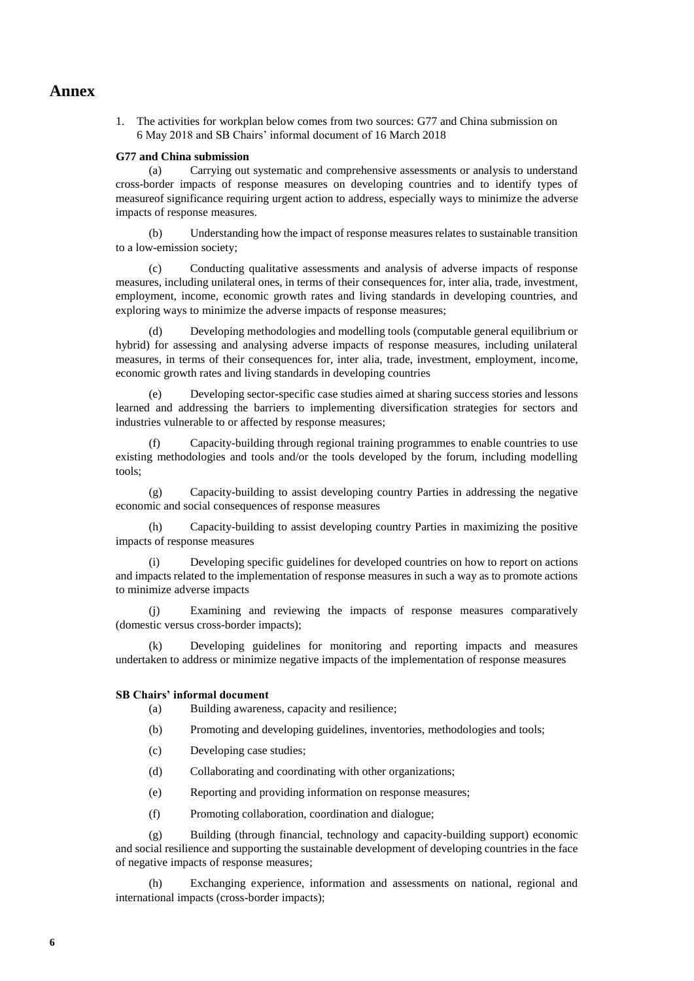## **Annex**

1. The activities for workplan below comes from two sources: G77 and China submission on 6 May 2018 and SB Chairs' informal document of 16 March 2018

### **G77 and China submission**

(a) Carrying out systematic and comprehensive assessments or analysis to understand cross-border impacts of response measures on developing countries and to identify types of measureof significance requiring urgent action to address, especially ways to minimize the adverse impacts of response measures.

(b) Understanding how the impact of response measures relates to sustainable transition to a low-emission society;

(c) Conducting qualitative assessments and analysis of adverse impacts of response measures, including unilateral ones, in terms of their consequences for, inter alia, trade, investment, employment, income, economic growth rates and living standards in developing countries, and exploring ways to minimize the adverse impacts of response measures;

Developing methodologies and modelling tools (computable general equilibrium or hybrid) for assessing and analysing adverse impacts of response measures, including unilateral measures, in terms of their consequences for, inter alia, trade, investment, employment, income, economic growth rates and living standards in developing countries

(e) Developing sector-specific case studies aimed at sharing success stories and lessons learned and addressing the barriers to implementing diversification strategies for sectors and industries vulnerable to or affected by response measures;

Capacity-building through regional training programmes to enable countries to use existing methodologies and tools and/or the tools developed by the forum, including modelling tools;

(g) Capacity-building to assist developing country Parties in addressing the negative economic and social consequences of response measures

(h) Capacity-building to assist developing country Parties in maximizing the positive impacts of response measures

Developing specific guidelines for developed countries on how to report on actions and impacts related to the implementation of response measures in such a way as to promote actions to minimize adverse impacts

(j) Examining and reviewing the impacts of response measures comparatively (domestic versus cross-border impacts);

(k) Developing guidelines for monitoring and reporting impacts and measures undertaken to address or minimize negative impacts of the implementation of response measures

## **SB Chairs' informal document**

- (a) Building awareness, capacity and resilience;
- (b) Promoting and developing guidelines, inventories, methodologies and tools;
- (c) Developing case studies;
- (d) Collaborating and coordinating with other organizations;
- (e) Reporting and providing information on response measures;
- (f) Promoting collaboration, coordination and dialogue;

(g) Building (through financial, technology and capacity-building support) economic and social resilience and supporting the sustainable development of developing countries in the face of negative impacts of response measures;

(h) Exchanging experience, information and assessments on national, regional and international impacts (cross-border impacts);